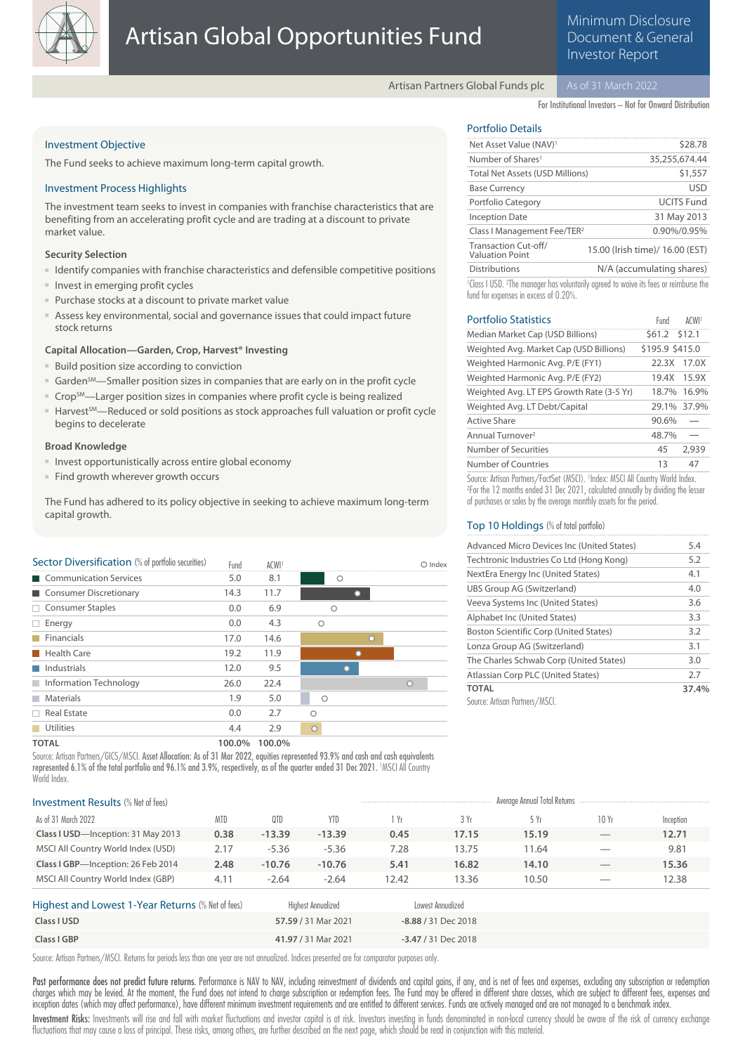

Minimum Disclosure Document & General Investor Report

Artisan Partners Global Funds plc

For Institutional Investors – Not for Onward Distribution

### Investment Objective

The Fund seeks to achieve maximum long-term capital growth.

### Investment Process Highlights

The investment team seeks to invest in companies with franchise characteristics that are benefiting from an accelerating profit cycle and are trading at a discount to private market value.

### **Security Selection**

- Identify companies with franchise characteristics and defensible competitive positions
- Invest in emerging profit cycles
- Purchase stocks at a discount to private market value
- Assess key environmental, social and governance issues that could impact future stock returns

### **Capital Allocation—Garden, Crop, Harvest® Investing**

- Build position size according to conviction
- Garden<sup>SM</sup>—Smaller position sizes in companies that are early on in the profit cycle
- Crop<sup>SM</sup>—Larger position sizes in companies where profit cycle is being realized
- Harvest<sup>SM</sup>—Reduced or sold positions as stock approaches full valuation or profit cycle begins to decelerate

### **Broad Knowledge**

- Invest opportunistically across entire global economy
- Find growth wherever growth occurs

The Fund has adhered to its policy objective in seeking to achieve maximum long-term capital growth.

| Sector Diversification (% of portfolio securities) | Fund   | ACWI <sup>1</sup> |         | $O$ Index |
|----------------------------------------------------|--------|-------------------|---------|-----------|
| Communication Services                             | 5.0    | 8.1               | Ω       |           |
| Consumer Discretionary                             | 14.3   | 11.7              |         |           |
| $\Box$ Consumer Staples                            | 0.0    | 6.9               | ∩       |           |
| Energy<br>□.                                       | 0.0    | 4.3               | ∩       |           |
| Financials                                         | 17.0   | 14.6              | $\circ$ |           |
| Health Care<br>×.                                  | 19.2   | 11.9              |         |           |
| Industrials                                        | 12.0   | 9.5               |         |           |
| Information Technology<br>٠                        | 26.0   | 22.4              |         | Ω         |
| Materials                                          | 1.9    | 5.0               | $\circ$ |           |
| $\Box$ Real Estate                                 | 0.0    | 2.7               | ◠       |           |
| <b>Utilities</b>                                   | 4.4    | 2.9               | $\circ$ |           |
| <b>TOTAL</b>                                       | 100.0% | 100.0%            |         |           |

Source: Artisan Partners/GICS/MSCI, Asset Allocation: As of 31 Mar 2022, equities represented 93.9% and cash and cash equivalents represented 6.1% of the total portfolio and 96.1% and 3.9%, respectively, as of the quarter ended 31 Dec 2021. <sup>1</sup>MSCI All Country World Index

### Portfolio Details

| Net Asset Value (NAV) <sup>1</sup>             | \$28.78                                                                                                   |
|------------------------------------------------|-----------------------------------------------------------------------------------------------------------|
| Number of Shares <sup>1</sup>                  | 35,255,674.44                                                                                             |
| <b>Total Net Assets (USD Millions)</b>         | \$1,557                                                                                                   |
| <b>Base Currency</b>                           | <b>USD</b>                                                                                                |
| Portfolio Category                             | <b>UCITS Fund</b>                                                                                         |
| <b>Inception Date</b>                          | 31 May 2013                                                                                               |
| Class I Management Fee/TER <sup>2</sup>        | 0.90%/0.95%                                                                                               |
| Transaction Cut-off/<br><b>Valuation Point</b> | 15.00 (Irish time)/ 16.00 (EST)                                                                           |
| <b>Distributions</b>                           | N/A (accumulating shares)                                                                                 |
|                                                | action a talent official contract that the transition of the contract of the contract of the state of the |

<sup>1</sup> Class I USD. <sup>2</sup>The manager has voluntarily agreed to waive its fees or reimburse the fund for expenses in excess of 0.20%.

| <b>Portfolio Statistics</b>                                                   | Fund            | ACWI <sup>1</sup> |
|-------------------------------------------------------------------------------|-----------------|-------------------|
| Median Market Cap (USD Billions)                                              | \$61.2 \$12.1   |                   |
| Weighted Avg. Market Cap (USD Billions)                                       | \$195.9 \$415.0 |                   |
| Weighted Harmonic Avg. P/E (FY1)                                              | 22.3X           | 17.0X             |
| Weighted Harmonic Avg. P/E (FY2)                                              | 19.4X           | 15.9X             |
| Weighted Avg. LT EPS Growth Rate (3-5 Yr)                                     |                 | 18.7% 16.9%       |
| Weighted Avg. LT Debt/Capital                                                 |                 | 29.1% 37.9%       |
| <b>Active Share</b>                                                           | 90.6%           |                   |
| Annual Turnover <sup>2</sup>                                                  | 48.7%           |                   |
| Number of Securities                                                          | 45              | 2,939             |
| Number of Countries                                                           | 13              | 47                |
| Source: Artison Partners /FactSet (MSCI) 11ndey: MSCI All Country World Index |                 |                   |

Source: Artisan Partners/FactSet (MSCI). <sup>1</sup> Index: MSCI All Country World Index. 2 For the 12 months ended 31 Dec 2021, calculated annually by dividing the lesser of purchases or sales by the average monthly assets for the period.

### Top 10 Holdings (% of total portfolio)

| Advanced Micro Devices Inc (United States) | 5.4   |
|--------------------------------------------|-------|
| Techtronic Industries Co Ltd (Hong Kong)   | 5.2   |
| NextEra Energy Inc (United States)         | 4.1   |
| UBS Group AG (Switzerland)                 | 4.0   |
| Veeva Systems Inc (United States)          | 3.6   |
| Alphabet Inc (United States)               | 3.3   |
| Boston Scientific Corp (United States)     | 3.2   |
| Lonza Group AG (Switzerland)               | 3.1   |
| The Charles Schwab Corp (United States)    | 3.0   |
| Atlassian Corp PLC (United States)         | 2.7   |
| <b>TOTAL</b>                               | 37.4% |
| Source: Artisan Partners/MSCI.             |       |

| <b>Investment Results (% Net of fees)</b>         |            |          |                           |       |                       | Average Annual Total Returns |       |           |
|---------------------------------------------------|------------|----------|---------------------------|-------|-----------------------|------------------------------|-------|-----------|
| As of 31 March 2022                               | <b>MTD</b> | QTD      | <b>YTD</b>                | 1 Yr  | 3 Yr                  | 5 Yr                         | 10 Yr | Inception |
| Class I USD-Inception: 31 May 2013                | 0.38       | $-13.39$ | $-13.39$                  | 0.45  | 17.15                 | 15.19                        |       | 12.71     |
| MSCI All Country World Index (USD)                | 2.17       | $-5.36$  | $-5.36$                   | 7.28  | 13.75                 | 11.64                        |       | 9.81      |
| Class I GBP-Inception: 26 Feb 2014                | 2.48       | $-10.76$ | $-10.76$                  | 5.41  | 16.82                 | 14.10                        |       | 15.36     |
| MSCI All Country World Index (GBP)                | 4.11       | $-2.64$  | $-2.64$                   | 12.42 | 13.36                 | 10.50                        |       | 12.38     |
| Highest and Lowest 1-Year Returns (% Net of fees) |            |          | <b>Highest Annualized</b> |       | Lowest Annualized     |                              |       |           |
| Class I USD                                       |            |          | 57.59 / 31 Mar 2021       |       | $-8.88 / 31$ Dec 2018 |                              |       |           |
| Class I GBP                                       |            |          | 41.97 / 31 Mar 2021       |       | $-3.47/31$ Dec 2018   |                              |       |           |

Source: Artisan Partners/MSCI. Returns for periods less than one year are not annualized. Indices presented are for comparator purposes only.

Past performance does not predict future returns. Performance is NAV to NAV, including reinvestment of dividends and capital gains, if any, and is net of fees and expenses, excluding any subscription or redemption charges which may be levied. At the moment, the Fund does not intend to charge subscription or redemption fees. The Fund may be offered in different share classes, which are subject to different fees, expenses and inception dates (which may affect performance), have different minimum investment requirements and are entitled to different services. Funds are actively managed and are not managed to a benchmark index.

Investment Risks: Investments will rise and fall with market fluctuations and investor capital is at risk. Investors investing in funds denominated in non-local currency should be aware of the risk of currency exchange fluctuations that may cause a loss of principal. These risks, among others, are further described on the next page, which should be read in conjunction with this material.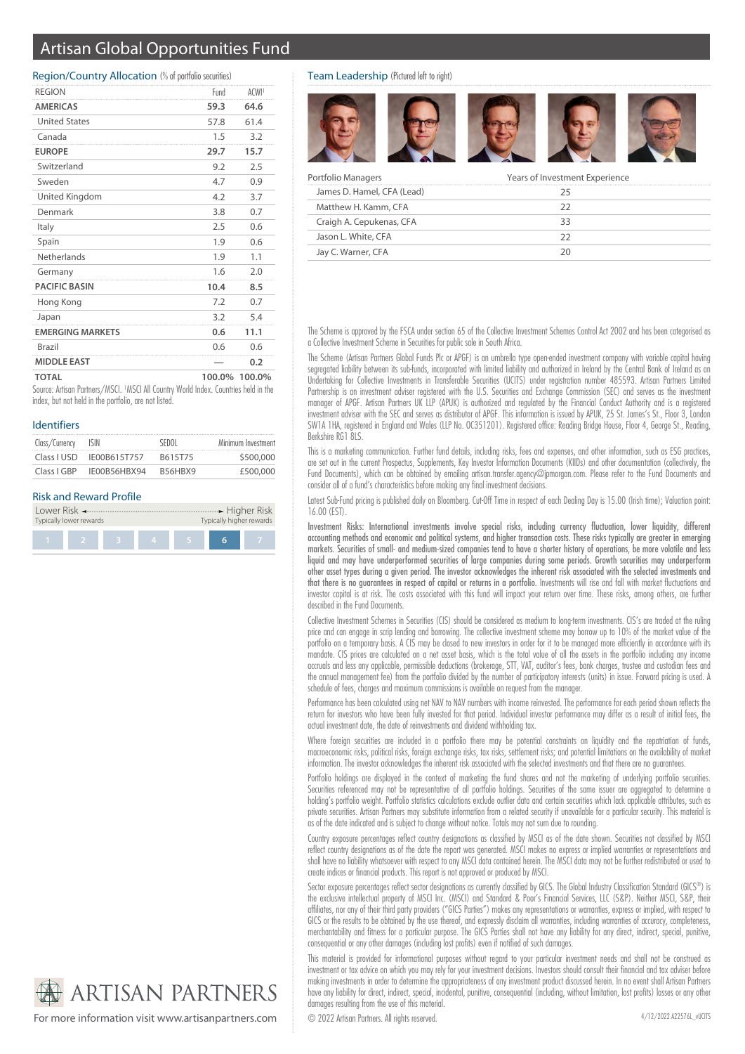# Artisan Global Opportunities Fund

#### Region/Country Allocation (% of portfolio securities)

| <b>MIDDLE EAST</b>      |      | 0.2              |
|-------------------------|------|------------------|
| Brazil                  | 0.6  | 0.6              |
| <b>EMERGING MARKETS</b> | 0.6  | 11.1             |
| Japan                   | 3.2  | 5.4              |
| Hong Kong               | 7.2  | 0.7              |
| <b>PACIFIC BASIN</b>    | 10.4 | 8.5              |
| Germany                 | 1.6  | 2.0              |
| Netherlands             | 1.9  | 1.1              |
| Spain                   | 1.9  | 0.6              |
| Italy                   | 2.5  | 0.6              |
| Denmark                 | 3.8  | 0.7              |
| United Kingdom          | 4.2  | 3.7              |
| Sweden                  | 4.7  | 0.9              |
| Switzerland             | 9.2  | 2.5              |
| <b>EUROPE</b>           | 29.7 | 15.7             |
| Canada                  | 1.5  | 3.2              |
| <b>United States</b>    | 57.8 | 61.4             |
| <b>AMERICAS</b>         | 59.3 | 64.6             |
| <b>REGION</b>           | Fund | ACW <sub>1</sub> |

Source: Artisan Partners/MSCI. <sup>1</sup>MSCI All Country World Index. Countries held in the index, but not held in the portfolio, are not listed.

### Identifiers

| Class/Currency | ISIN         | SEDOL   | Minimum Investment |
|----------------|--------------|---------|--------------------|
| Class LUSD     | IF00B615T757 | B615T75 | \$500,000          |
| Class LGBP     | IE00B56HBX94 | R56HRX9 | £500,000           |

## Risk and Reward Profile

| Typically higher rewards<br>Typically lower rewards |  |  |   |  |  |  |
|-----------------------------------------------------|--|--|---|--|--|--|
|                                                     |  |  |   |  |  |  |
|                                                     |  |  | 4 |  |  |  |

### Team Leadership (Pictured left to right)



| Portfolio Managers         | Years of Investment Experience |
|----------------------------|--------------------------------|
| James D. Hamel, CFA (Lead) | 75                             |
| Matthew H. Kamm, CFA       | フフ                             |
| Craigh A. Cepukenas, CFA   | 33                             |
| Jason L. White, CFA        |                                |
| Jay C. Warner, CFA         | חכ                             |

The Scheme is approved by the FSCA under section 65 of the Collective Investment Schemes Control Act 2002 and has been categorised as a Collective Investment Scheme in Securities for public sale in South Africa.

The Scheme (Artisan Partners Global Funds Plc or APGF) is an umbrella type open-ended investment company with variable capital having segregated liability between its sub-funds, incorporated with limited liability and authorized in Ireland by the Central Bank of Ireland as an Undertaking for Collective Investments in Transferable Securities (UCITS) under registration number 485593. Artisan Partners Limited Partnership is an investment adviser registered with the U.S. Securities and Exchange Commission (SEC) and serves as the investment manager of APGF. Artisan Partners UK LLP (APUK) is authorized and regulated by the Financial Conduct Authority and is a registered investment adviser with the SEC and serves as distributor of APGF. This information is issued by APUK, 25 St. James's St., Floor 3, London SW1A 1HA, registered in England and Wales (LLP No. OC351201). Registered office: Reading Bridge House, Floor 4, George St., Reading, Berkshire RG1 8LS.

This is a marketing communication. Further fund details, including risks, fees and expenses, and other information, such as ESG practices, are set out in the current Prospectus, Supplements, Key Investor Information Documents (KIIDs) and other documentation (collectively, the Fund Documents), which can be obtained by emailing artisan.transfer.agency@jpmorgan.com. Please refer to the Fund Documents and consider all of a fund's characteristics before making any final investment decisions.

Latest Sub-Fund pricing is published daily on Bloomberg. Cut-Off Time in respect of each Dealing Day is 15.00 (Irish time); Valuation point: 16.00 (EST).

Investment Risks: International investments involve special risks, including currency fluctuation, lower liquidity, different accounting methods and economic and political systems, and higher transaction costs. These risks typically are greater in emerging markets. Securities of small- and medium-sized companies tend to have a shorter history of operations, be more volatile and less liquid and may have underperformed securities of large companies during some periods. Growth securities may underperform other asset types during a given period. The investor acknowledges the inherent risk associated with the selected investments and that there is no guarantees in respect of capital or returns in a portfolio. Investments will rise and fall with market fluctuations and investor capital is at risk. The costs associated with this fund will impact your return over time. These risks, among others, are further described in the Fund Documents.

Collective Investment Schemes in Securities (CIS) should be considered as medium to long-term investments. CIS's are traded at the ruling price and can engage in scrip lending and borrowing. The collective investment scheme may borrow up to 10% of the market value of the portfolio on a temporary basis. A CIS may be closed to new investors in order for it to be managed more efficiently in accordance with its mandate. CIS prices are calculated on a net asset basis, which is the total value of all the assets in the portfolio including any income accruals and less any applicable, permissible deductions (brokerage, STT, VAT, auditor's fees, bank charges, trustee and custodian fees and the annual management fee) from the portfolio divided by the number of participatory interests (units) in issue. Forward pricing is used. A schedule of fees, charges and maximum commissions is available on request from the manager.

Performance has been calculated using net NAV to NAV numbers with income reinvested. The performance for each period shown reflects the return for investors who have been fully invested for that period. Individual investor performance may differ as a result of initial fees, the actual investment date, the date of reinvestments and dividend withholding tax.

Where foreign securities are included in a portfolio there may be potential constraints on liquidity and the repatriation of funds, macroeconomic risks, political risks, foreign exchange risks, tax risks, settlement risks; and potential limitations on the availability of market information. The investor acknowledges the inherent risk associated with the selected investments and that there are no guarantees.

Portfolio holdings are displayed in the context of marketing the fund shares and not the marketing of underlying portfolio securities. Securities referenced may not be representative of all portfolio holdings. Securities of the same issuer are aggregated to determine a holding's portfolio weight. Portfolio statistics calculations exclude outlier data and certain securities which lack applicable attributes, such as private securities. Artisan Partners may substitute information from a related security if unavailable for a particular security. This material is as of the date indicated and is subject to change without notice. Totals may not sum due to rounding.

Country exposure percentages reflect country designations as classified by MSCI as of the date shown. Securities not classified by MSCI reflect country designations as of the date the report was generated. MSCI makes no express or implied warranties or representations and shall have no liability whatsoever with respect to any MSCI data contained herein. The MSCI data may not be further redistributed or used to create indices or financial products. This report is not approved or produced by MSCI.

Sector exposure percentages reflect sector designations as currently classified by GICS. The Global Industry Classification Standard (GICS®) is the exclusive intellectual property of MSCI Inc. (MSCI) and Standard & Poor's Financial Services, LLC (S&P). Neither MSCI, S&P, their affiliates, nor any of their third party providers ("GICS Parties") makes any representations or warranties, express or implied, with respect to GICS or the results to be obtained by the use thereof, and expressly disclaim all warranties, including warranties of accuracy, completeness, merchantability and fitness for a particular purpose. The GICS Parties shall not have any liability for any direct, indirect, special, punitive, consequential or any other damages (including lost profits) even if notified of such damages.

This material is provided for informational purposes without regard to your particular investment needs and shall not be construed as investment or tax advice on which you may rely for your investment decisions. Investors should consult their financial and tax adviser before making investments in order to determine the appropriateness of any investment product discussed herein. In no event shall Artisan Partners have any liability for direct, indirect, special, incidental, punitive, consequential (including, without limitation, lost profits) losses or any other damages resulting from the use of this material.



For more information visit www.artisanpartners.com  $\bigcirc$  2022 Artisan Partners. All rights reserved.